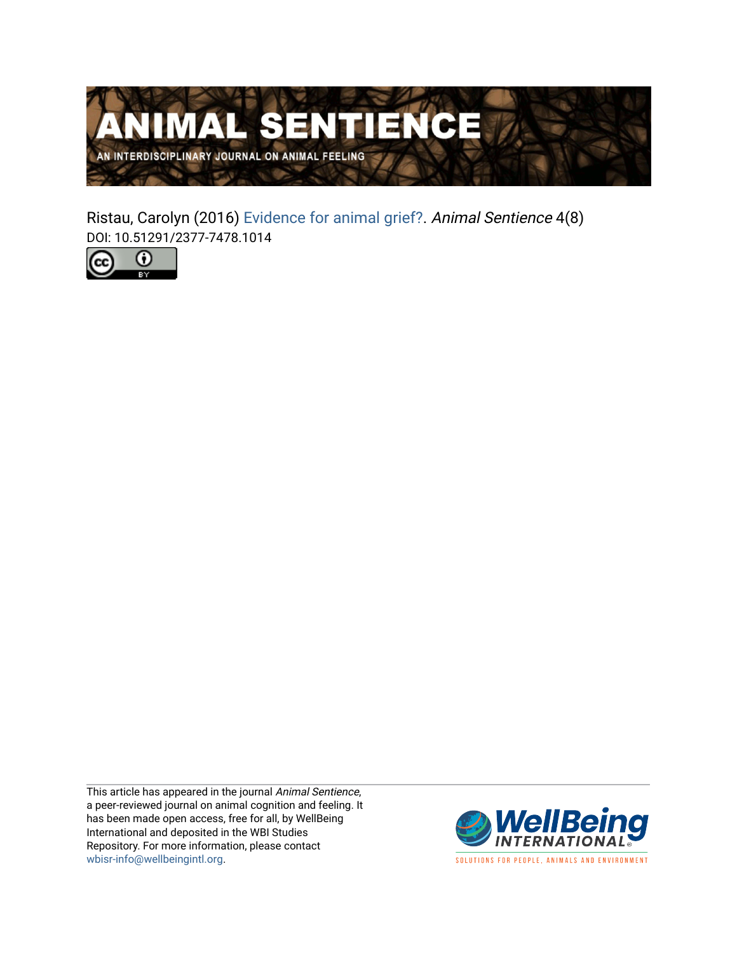

Ristau, Carolyn (2016) [Evidence for animal grief?.](https://www.wellbeingintlstudiesrepository.org/animsent/vol1/iss4/8) Animal Sentience 4(8) DOI: 10.51291/2377-7478.1014



This article has appeared in the journal Animal Sentience, a peer-reviewed journal on animal cognition and feeling. It has been made open access, free for all, by WellBeing International and deposited in the WBI Studies Repository. For more information, please contact [wbisr-info@wellbeingintl.org](mailto:wbisr-info@wellbeingintl.org).



SOLUTIONS FOR PEOPLE, ANIMALS AND ENVIRONMENT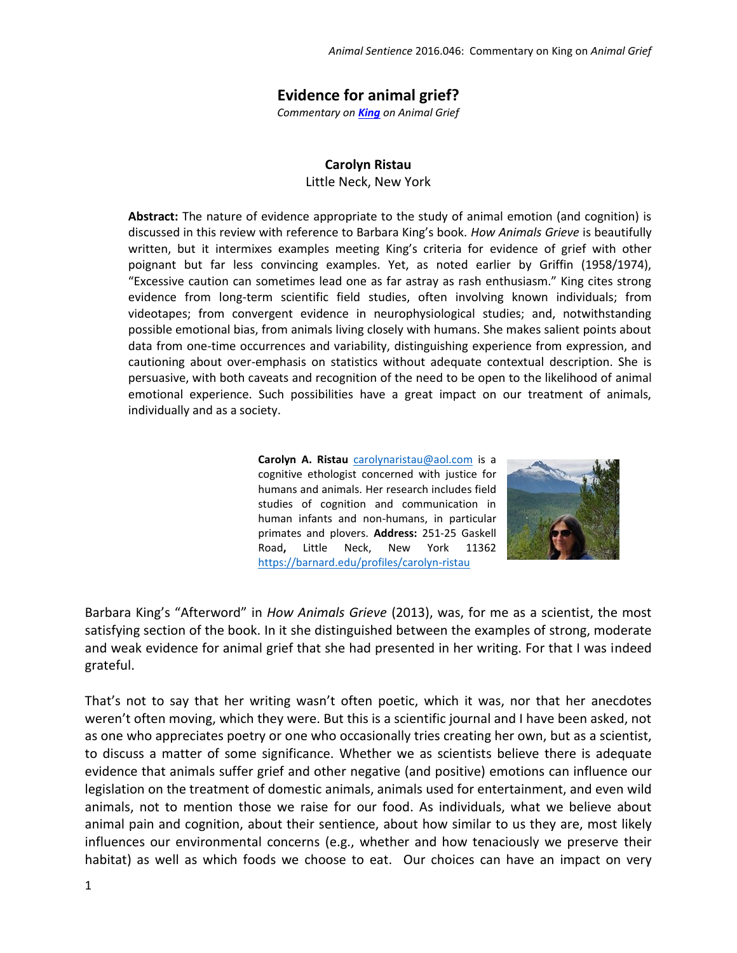## **Evidence for animal grief?**

*Commentary on [King](http://animalstudiesrepository.org/animsent/vol1/iss4/1/) on Animal Grief*

## **Carolyn Ristau**

Little Neck, New York

**Abstract:** The nature of evidence appropriate to the study of animal emotion (and cognition) is discussed in this review with reference to Barbara King's book. *How Animals Grieve* is beautifully written, but it intermixes examples meeting King's criteria for evidence of grief with other poignant but far less convincing examples. Yet, as noted earlier by Griffin (1958/1974), "Excessive caution can sometimes lead one as far astray as rash enthusiasm." King cites strong evidence from long-term scientific field studies, often involving known individuals; from videotapes; from convergent evidence in neurophysiological studies; and, notwithstanding possible emotional bias, from animals living closely with humans. She makes salient points about data from one-time occurrences and variability, distinguishing experience from expression, and cautioning about over-emphasis on statistics without adequate contextual description. She is persuasive, with both caveats and recognition of the need to be open to the likelihood of animal emotional experience. Such possibilities have a great impact on our treatment of animals, individually and as a society.

> **Carolyn A. Ristau** [carolynaristau@aol.com](mailto:carolynaristau@aol.com) is a cognitive ethologist concerned with justice for humans and animals. Her research includes field studies of cognition and communication in human infants and non-humans, in particular primates and plovers. **Address:** 251-25 Gaskell Road**,** Little Neck, New York 11362 <https://barnard.edu/profiles/carolyn-ristau>



Barbara King's "Afterword" in *How Animals Grieve* (2013), was, for me as a scientist, the most satisfying section of the book. In it she distinguished between the examples of strong, moderate and weak evidence for animal grief that she had presented in her writing. For that I was indeed grateful.

That's not to say that her writing wasn't often poetic, which it was, nor that her anecdotes weren't often moving, which they were. But this is a scientific journal and I have been asked, not as one who appreciates poetry or one who occasionally tries creating her own, but as a scientist, to discuss a matter of some significance. Whether we as scientists believe there is adequate evidence that animals suffer grief and other negative (and positive) emotions can influence our legislation on the treatment of domestic animals, animals used for entertainment, and even wild animals, not to mention those we raise for our food. As individuals, what we believe about animal pain and cognition, about their sentience, about how similar to us they are, most likely influences our environmental concerns (e.g., whether and how tenaciously we preserve their habitat) as well as which foods we choose to eat. Our choices can have an impact on very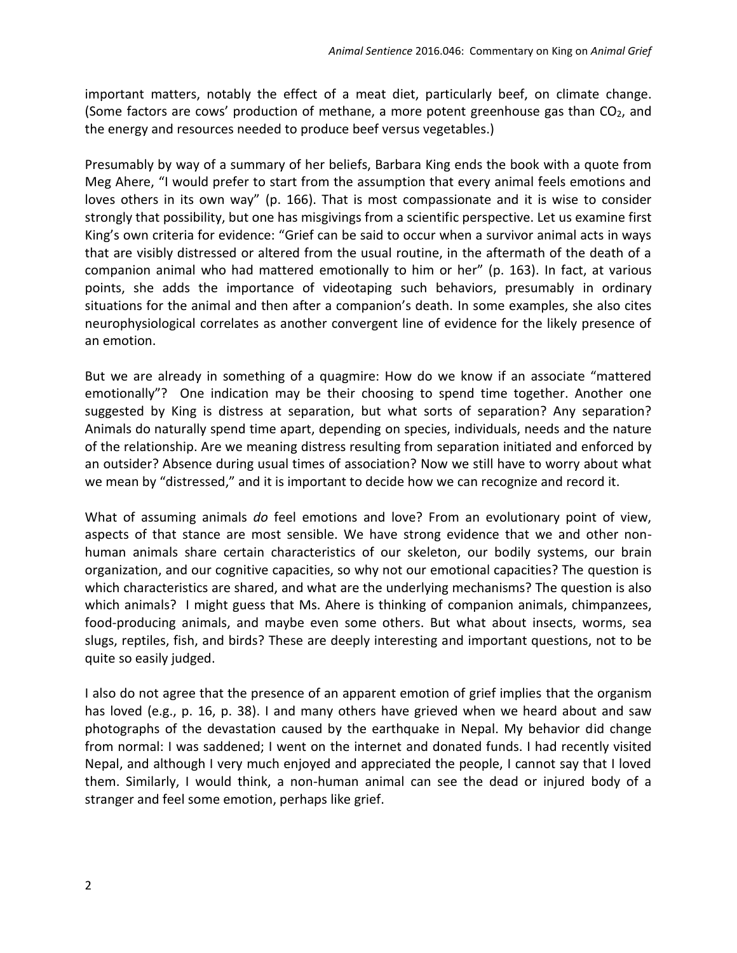important matters, notably the effect of a meat diet, particularly beef, on climate change. (Some factors are cows' production of methane, a more potent greenhouse gas than  $CO<sub>2</sub>$ , and the energy and resources needed to produce beef versus vegetables.)

Presumably by way of a summary of her beliefs, Barbara King ends the book with a quote from Meg Ahere, "I would prefer to start from the assumption that every animal feels emotions and loves others in its own way" (p. 166). That is most compassionate and it is wise to consider strongly that possibility, but one has misgivings from a scientific perspective. Let us examine first King's own criteria for evidence: "Grief can be said to occur when a survivor animal acts in ways that are visibly distressed or altered from the usual routine, in the aftermath of the death of a companion animal who had mattered emotionally to him or her" (p. 163). In fact, at various points, she adds the importance of videotaping such behaviors, presumably in ordinary situations for the animal and then after a companion's death. In some examples, she also cites neurophysiological correlates as another convergent line of evidence for the likely presence of an emotion.

But we are already in something of a quagmire: How do we know if an associate "mattered emotionally"? One indication may be their choosing to spend time together. Another one suggested by King is distress at separation, but what sorts of separation? Any separation? Animals do naturally spend time apart, depending on species, individuals, needs and the nature of the relationship. Are we meaning distress resulting from separation initiated and enforced by an outsider? Absence during usual times of association? Now we still have to worry about what we mean by "distressed," and it is important to decide how we can recognize and record it.

What of assuming animals *do* feel emotions and love? From an evolutionary point of view, aspects of that stance are most sensible. We have strong evidence that we and other nonhuman animals share certain characteristics of our skeleton, our bodily systems, our brain organization, and our cognitive capacities, so why not our emotional capacities? The question is which characteristics are shared, and what are the underlying mechanisms? The question is also which animals? I might guess that Ms. Ahere is thinking of companion animals, chimpanzees, food-producing animals, and maybe even some others. But what about insects, worms, sea slugs, reptiles, fish, and birds? These are deeply interesting and important questions, not to be quite so easily judged.

I also do not agree that the presence of an apparent emotion of grief implies that the organism has loved (e.g., p. 16, p. 38). I and many others have grieved when we heard about and saw photographs of the devastation caused by the earthquake in Nepal. My behavior did change from normal: I was saddened; I went on the internet and donated funds. I had recently visited Nepal, and although I very much enjoyed and appreciated the people, I cannot say that I loved them. Similarly, I would think, a non-human animal can see the dead or injured body of a stranger and feel some emotion, perhaps like grief.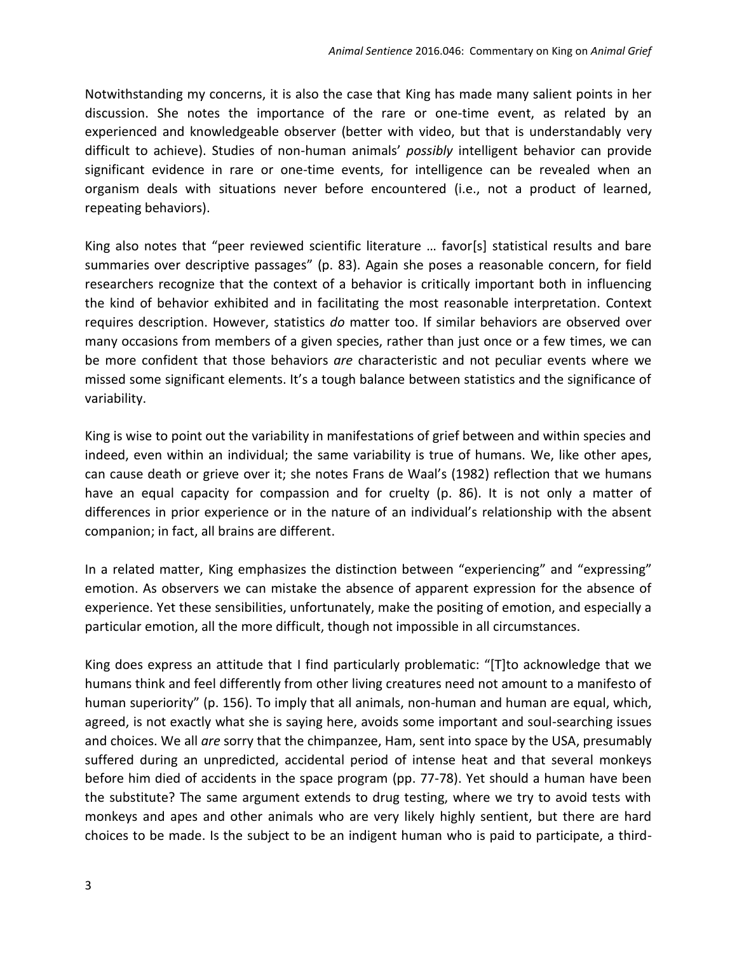Notwithstanding my concerns, it is also the case that King has made many salient points in her discussion. She notes the importance of the rare or one-time event, as related by an experienced and knowledgeable observer (better with video, but that is understandably very difficult to achieve). Studies of non-human animals' *possibly* intelligent behavior can provide significant evidence in rare or one-time events, for intelligence can be revealed when an organism deals with situations never before encountered (i.e., not a product of learned, repeating behaviors).

King also notes that "peer reviewed scientific literature … favor[s] statistical results and bare summaries over descriptive passages" (p. 83). Again she poses a reasonable concern, for field researchers recognize that the context of a behavior is critically important both in influencing the kind of behavior exhibited and in facilitating the most reasonable interpretation. Context requires description. However, statistics *do* matter too. If similar behaviors are observed over many occasions from members of a given species, rather than just once or a few times, we can be more confident that those behaviors *are* characteristic and not peculiar events where we missed some significant elements. It's a tough balance between statistics and the significance of variability.

King is wise to point out the variability in manifestations of grief between and within species and indeed, even within an individual; the same variability is true of humans. We, like other apes, can cause death or grieve over it; she notes Frans de Waal's (1982) reflection that we humans have an equal capacity for compassion and for cruelty (p. 86). It is not only a matter of differences in prior experience or in the nature of an individual's relationship with the absent companion; in fact, all brains are different.

In a related matter, King emphasizes the distinction between "experiencing" and "expressing" emotion. As observers we can mistake the absence of apparent expression for the absence of experience. Yet these sensibilities, unfortunately, make the positing of emotion, and especially a particular emotion, all the more difficult, though not impossible in all circumstances.

King does express an attitude that I find particularly problematic: "[T]to acknowledge that we humans think and feel differently from other living creatures need not amount to a manifesto of human superiority" (p. 156). To imply that all animals, non-human and human are equal, which, agreed, is not exactly what she is saying here, avoids some important and soul-searching issues and choices. We all *are* sorry that the chimpanzee, Ham, sent into space by the USA, presumably suffered during an unpredicted, accidental period of intense heat and that several monkeys before him died of accidents in the space program (pp. 77-78). Yet should a human have been the substitute? The same argument extends to drug testing, where we try to avoid tests with monkeys and apes and other animals who are very likely highly sentient, but there are hard choices to be made. Is the subject to be an indigent human who is paid to participate, a third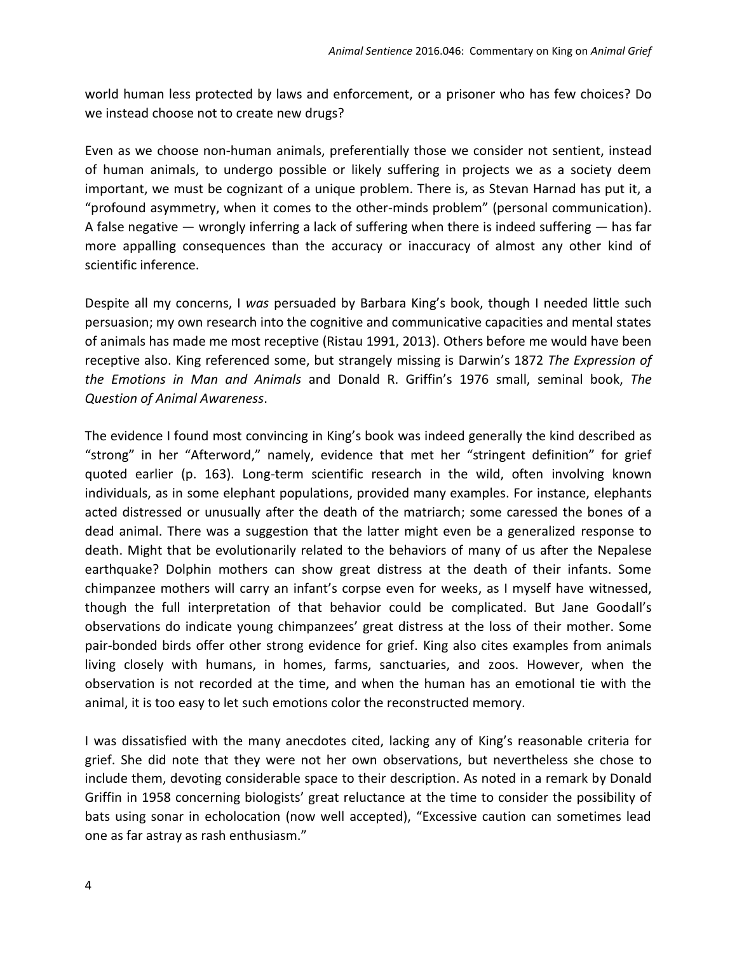world human less protected by laws and enforcement, or a prisoner who has few choices? Do we instead choose not to create new drugs?

Even as we choose non-human animals, preferentially those we consider not sentient, instead of human animals, to undergo possible or likely suffering in projects we as a society deem important, we must be cognizant of a unique problem. There is, as Stevan Harnad has put it, a "profound asymmetry, when it comes to the other-minds problem" (personal communication). A false negative — wrongly inferring a lack of suffering when there is indeed suffering — has far more appalling consequences than the accuracy or inaccuracy of almost any other kind of scientific inference.

Despite all my concerns, I *was* persuaded by Barbara King's book, though I needed little such persuasion; my own research into the cognitive and communicative capacities and mental states of animals has made me most receptive (Ristau 1991, 2013). Others before me would have been receptive also. King referenced some, but strangely missing is Darwin's 1872 *The Expression of the Emotions in Man and Animals* and Donald R. Griffin's 1976 small, seminal book, *The Question of Animal Awareness*.

The evidence I found most convincing in King's book was indeed generally the kind described as "strong" in her "Afterword," namely, evidence that met her "stringent definition" for grief quoted earlier (p. 163). Long-term scientific research in the wild, often involving known individuals, as in some elephant populations, provided many examples. For instance, elephants acted distressed or unusually after the death of the matriarch; some caressed the bones of a dead animal. There was a suggestion that the latter might even be a generalized response to death. Might that be evolutionarily related to the behaviors of many of us after the Nepalese earthquake? Dolphin mothers can show great distress at the death of their infants. Some chimpanzee mothers will carry an infant's corpse even for weeks, as I myself have witnessed, though the full interpretation of that behavior could be complicated. But Jane Goodall's observations do indicate young chimpanzees' great distress at the loss of their mother. Some pair-bonded birds offer other strong evidence for grief. King also cites examples from animals living closely with humans, in homes, farms, sanctuaries, and zoos. However, when the observation is not recorded at the time, and when the human has an emotional tie with the animal, it is too easy to let such emotions color the reconstructed memory.

I was dissatisfied with the many anecdotes cited, lacking any of King's reasonable criteria for grief. She did note that they were not her own observations, but nevertheless she chose to include them, devoting considerable space to their description. As noted in a remark by Donald Griffin in 1958 concerning biologists' great reluctance at the time to consider the possibility of bats using sonar in echolocation (now well accepted), "Excessive caution can sometimes lead one as far astray as rash enthusiasm."